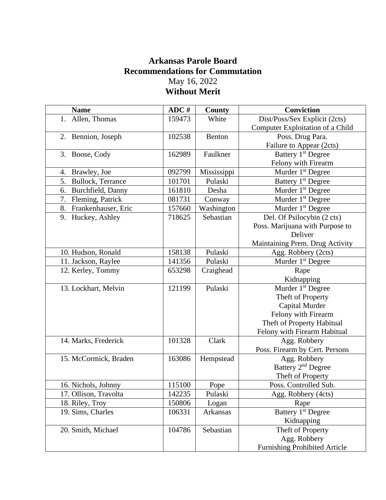## **Arkansas Parole Board Recommendations for Commutation** May 16, 2022 **Without Merit**

| <b>Name</b>               | ADC#   | County      | <b>Conviction</b>                    |
|---------------------------|--------|-------------|--------------------------------------|
| 1. Allen, Thomas          | 159473 | White       | Dist/Poss/Sex Explicit (2cts)        |
|                           |        |             | Computer Exploitation of a Child     |
| 2. Bennion, Joseph        | 102538 | Benton      | Poss. Drug Para.                     |
|                           |        |             | Failure to Appear (2cts)             |
| 3. Boose, Cody            | 162989 | Faulkner    | Battery 1 <sup>st</sup> Degree       |
|                           |        |             | Felony with Firearm                  |
| Brawley, Joe<br>4.        | 092799 | Mississippi | Murder 1 <sup>st</sup> Degree        |
| 5.<br>Bullock, Terrance   | 101701 | Pulaski     | Battery 1 <sup>st</sup> Degree       |
| 6.<br>Burchfield, Danny   | 161810 | Desha       | Murder 1 <sup>st</sup> Degree        |
| 7.<br>Fleming, Patrick    | 081731 | Conway      | Murder 1 <sup>st</sup> Degree        |
| Frankenhauser, Eric<br>8. | 157660 | Washington  | Murder 1 <sup>st</sup> Degree        |
| Huckey, Ashley<br>9.      | 718625 | Sebastian   | Del. Of Psilocybin (2 cts)           |
|                           |        |             | Poss. Marijuana with Purpose to      |
|                           |        |             | Deliver                              |
|                           |        |             | Maintaining Prem. Drug Activity      |
| 10. Hudson, Ronald        | 158138 | Pulaski     | Agg. Robbery (2cts)                  |
| 11. Jackson, Raylee       | 141356 | Pulaski     | Murder 1 <sup>st</sup> Degree        |
| 12. Kerley, Tommy         | 653298 | Craighead   | Rape                                 |
|                           |        |             | Kidnapping                           |
| 13. Lockhart, Melvin      | 121199 | Pulaski     | Murder 1 <sup>st</sup> Degree        |
|                           |        |             | Theft of Property                    |
|                           |        |             | Capital Murder                       |
|                           |        |             | Felony with Firearm                  |
|                           |        |             | Theft of Property Habitual           |
|                           |        |             | Felony with Firearm Habitual         |
| 14. Marks, Frederick      | 101328 | Clark       | Agg. Robbery                         |
|                           |        |             | Poss. Firearm by Cert. Persons       |
| 15. McCormick, Braden     | 163086 | Hempstead   | Agg. Robbery                         |
|                           |        |             | Battery 2 <sup>nd</sup> Degree       |
|                           |        |             | Theft of Property                    |
| 16. Nichols, Johnny       | 115100 | Pope        | Poss. Controlled Sub.                |
| 17. Ollison, Travolta     | 142235 | Pulaski     | Agg. Robbery (4cts)                  |
| 18. Riley, Troy           | 150806 | Logan       | Rape                                 |
| 19. Sims, Charles         | 106331 | Arkansas    | Battery 1 <sup>st</sup> Degree       |
|                           |        |             | Kidnapping                           |
| 20. Smith, Michael        | 104786 | Sebastian   | Theft of Property                    |
|                           |        |             | Agg. Robbery                         |
|                           |        |             | <b>Furnishing Prohibited Article</b> |